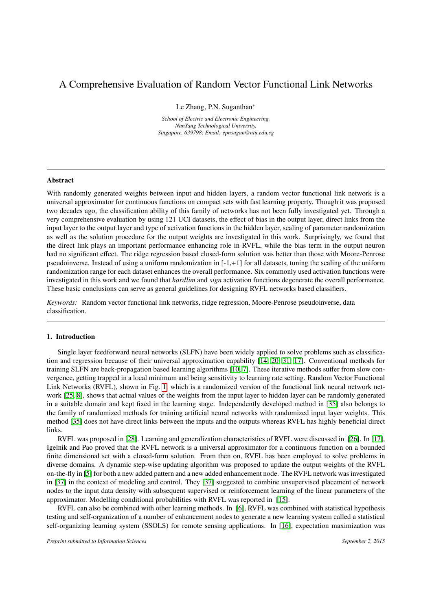# A Comprehensive Evaluation of Random Vector Functional Link Networks

Le Zhang, P.N. Suganthan<sup>∗</sup>

*School of Electric and Electronic Engineering, NanYang Technological University, Singapore, 639798; Email: epnsugan@ntu.edu.sg*

### Abstract

With randomly generated weights between input and hidden layers, a random vector functional link network is a universal approximator for continuous functions on compact sets with fast learning property. Though it was proposed two decades ago, the classification ability of this family of networks has not been fully investigated yet. Through a very comprehensive evaluation by using 121 UCI datasets, the effect of bias in the output layer, direct links from the input layer to the output layer and type of activation functions in the hidden layer, scaling of parameter randomization as well as the solution procedure for the output weights are investigated in this work. Surprisingly, we found that the direct link plays an important performance enhancing role in RVFL, while the bias term in the output neuron had no significant effect. The ridge regression based closed-form solution was better than those with Moore-Penrose pseudoinverse. Instead of using a uniform randomization in  $[-1, +1]$  for all datasets, tuning the scaling of the uniform randomization range for each dataset enhances the overall performance. Six commonly used activation functions were investigated in this work and we found that *hardlim* and *sign* activation functions degenerate the overall performance. These basic conclusions can serve as general guidelines for designing RVFL networks based classifiers.

*Keywords:* Random vector functional link networks, ridge regression, Moore-Penrose pseudoinverse, data classification.

# 1. Introduction

Single layer feedforward neural networks (SLFN) have been widely applied to solve problems such as classification and regression because of their universal approximation capability [\[14,](#page-11-0) [20,](#page-11-1) [31,](#page-12-0) [17\]](#page-11-2). Conventional methods for training SLFN are back-propagation based learning algorithms [\[10,](#page-11-3) [7\]](#page-11-4). These iterative methods suffer from slow convergence, getting trapped in a local minimum and being sensitivity to learning rate setting. Random Vector Functional Link Networks (RVFL), shown in Fig. [1,](#page-1-0) which is a randomized version of the functional link neural network network [\[25,](#page-11-5) [8\]](#page-11-6), shows that actual values of the weights from the input layer to hidden layer can be randomly generated in a suitable domain and kept fixed in the learning stage. Independently developed method in [\[35\]](#page-12-1) also belongs to the family of randomized methods for training artificial neural networks with randomized input layer weights. This method [\[35\]](#page-12-1) does not have direct links between the inputs and the outputs whereas RVFL has highly beneficial direct links.

RVFL was proposed in [\[28\]](#page-11-7). Learning and generalization characteristics of RVFL were discussed in [\[26\]](#page-11-8). In [\[17\]](#page-11-2), Igelnik and Pao proved that the RVFL network is a universal approximator for a continuous function on a bounded finite dimensional set with a closed-form solution. From then on, RVFL has been employed to solve problems in diverse domains. A dynamic step-wise updating algorithm was proposed to update the output weights of the RVFL on-the-fly in [\[5\]](#page-11-9) for both a new added pattern and a new added enhancement node. The RVFL network was investigated in [\[37\]](#page-12-2) in the context of modeling and control. They [\[37\]](#page-12-2) suggested to combine unsupervised placement of network nodes to the input data density with subsequent supervised or reinforcement learning of the linear parameters of the approximator. Modelling conditional probabilities with RVFL was reported in [\[15\]](#page-11-10).

RVFL can also be combined with other learning methods. In [\[6\]](#page-11-11), RVFL was combined with statistical hypothesis testing and self-organization of a number of enhancement nodes to generate a new learning system called a statistical self-organizing learning system (SSOLS) for remote sensing applications. In [\[16\]](#page-11-12), expectation maximization was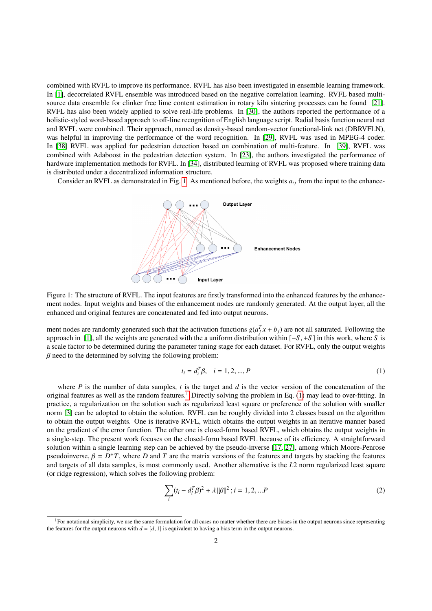combined with RVFL to improve its performance. RVFL has also been investigated in ensemble learning framework. In [\[1\]](#page-11-13), decorrelated RVFL ensemble was introduced based on the negative correlation learning. RVFL based multisource data ensemble for clinker free lime content estimation in rotary kiln sintering processes can be found [\[21\]](#page-11-14). RVFL has also been widely applied to solve real-life problems. In [\[30\]](#page-12-3), the authors reported the performance of a holistic-styled word-based approach to off-line recognition of English language script. Radial basis function neural net and RVFL were combined. Their approach, named as density-based random-vector functional-link net (DBRVFLN), was helpful in improving the performance of the word recognition. In [\[29\]](#page-12-4), RVFL was used in MPEG-4 coder. In [\[38\]](#page-12-5) RVFL was applied for pedestrian detection based on combination of multi-feature. In [\[39\]](#page-12-6), RVFL was combined with Adaboost in the pedestrian detection system. In [\[23\]](#page-11-15), the authors investigated the performance of hardware implementation methods for RVFL. In [\[34\]](#page-12-7), distributed learning of RVFL was proposed where training data is distributed under a decentralized information structure.

Consider an RVFL as demonstrated in Fig. [1.](#page-1-0) As mentioned before, the weights  $a_{ij}$  from the input to the enhance-



Figure 1: The structure of RVFL. The input features are firstly transformed into the enhanced features by the enhancement nodes. Input weights and biases of the enhancement nodes are randomly generated. At the output layer, all the enhanced and original features are concatenated and fed into output neurons.

<span id="page-1-0"></span>ment nodes are randomly generated such that the activation functions  $g(a_j^T x + b_j)$  are not all saturated. Following the approach in [\[1\]](#page-11-13), all the weights are generated with the a uniform distribution within [−*S*, <sup>+</sup>*<sup>S</sup>* ] in this work, where *<sup>S</sup>* is a scale factor to be determined during the parameter tuning stage for each dataset. For RVFL, only the output weights  $\beta$  need to the determined by solving the following problem:

<span id="page-1-2"></span>
$$
t_i = d_i^T \beta, \quad i = 1, 2, ..., P
$$
 (1)

where  $P$  is the number of data samples,  $t$  is the target and  $d$  is the vector version of the concatenation of the original features as well as the random features.<sup>[1](#page-1-1)</sup> Directly solving the problem in Eq. [\(1\)](#page-1-2) may lead to over-fitting. In practice, a regularization on the solution such as regularized least square or preference of the solution with smaller norm [\[3\]](#page-11-16) can be adopted to obtain the solution. RVFL can be roughly divided into 2 classes based on the algorithm to obtain the output weights. One is iterative RVFL, which obtains the output weights in an iterative manner based on the gradient of the error function. The other one is closed-form based RVFL, which obtains the output weights in a single-step. The present work focuses on the closed-form based RVFL because of its efficiency. A straightforward solution within a single learning step can be achieved by the pseudo-inverse [\[17,](#page-11-2) [27\]](#page-11-17), among which Moore-Penrose pseudoinverse,  $\beta = D^+T$ , where *D* and *T* are the matrix versions of the features and targets by stacking the features<br>and targets of all data samples is most commonly used. Another alternative is the *L*2 norm regulari and targets of all data samples, is most commonly used. Another alternative is the *L*2 norm regularized least square (or ridge regression), which solves the following problem:

<span id="page-1-3"></span>
$$
\sum_{i} (t_i - d_i^T \beta)^2 + \lambda ||\beta||^2 ; i = 1, 2, ...P
$$
 (2)

<span id="page-1-1"></span> ${}^{1}$ For notational simplicity, we use the same formulation for all cases no matter whether there are biases in the output neurons since representing the features for the output neurons with  $d = [d, 1]$  is equivalent to having a bias term in the output neurons.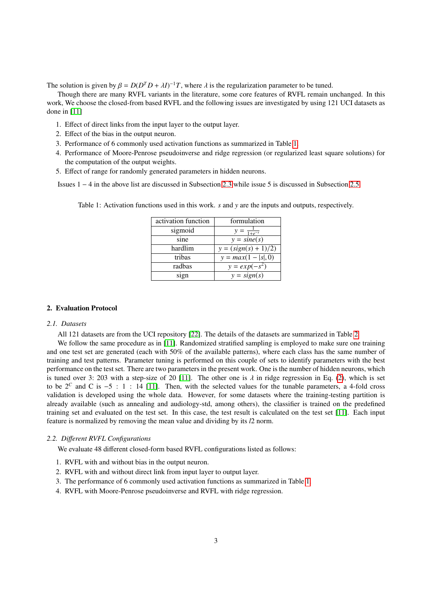The solution is given by  $\beta = D(D^T D + \lambda I)^{-1}T$ , where  $\lambda$  is the regularization parameter to be tuned.<br>Though there are many RVEL variants in the literature, some core features of RVEL remain u

Though there are many RVFL variants in the literature, some core features of RVFL remain unchanged. In this work, We choose the closed-from based RVFL and the following issues are investigated by using 121 UCI datasets as done in [\[11\]](#page-11-18)

- 1. Effect of direct links from the input layer to the output layer.
- 2. Effect of the bias in the output neuron.
- 3. Performance of 6 commonly used activation functions as summarized in Table [1.](#page-2-0)
- 4. Performance of Moore-Penrose pseudoinverse and ridge regression (or regularized least square solutions) for the computation of the output weights.
- 5. Effect of range for randomly generated parameters in hidden neurons.

Issues 1 − 4 in the above list are discussed in Subsection [2.3](#page-4-0) while issue 5 is discussed in Subsection [2.5.](#page-6-0)

| activation function | formulation            |
|---------------------|------------------------|
| sigmoid             | $\sqrt{1+e^{-s}}$      |
| sine                | $y = sine(s)$          |
| hardlim             | $y = (sign(s) + 1)/2)$ |
| tribas              | $y = max(1 -  s , 0)$  |
| radbas              | $y = exp(-s^2)$        |
| sign                | $y = sign(s)$          |

<span id="page-2-0"></span>Table 1: Activation functions used in this work. *s* and *y* are the inputs and outputs, respectively.

# 2. Evaluation Protocol

### *2.1. Datasets*

All 121 datasets are from the UCI repository [\[22\]](#page-11-19). The details of the datasets are summarized in Table [2.](#page-3-0)

We follow the same procedure as in [\[11\]](#page-11-18). Randomized stratified sampling is employed to make sure one training and one test set are generated (each with 50% of the available patterns), where each class has the same number of training and test patterns. Parameter tuning is performed on this couple of sets to identify parameters with the best performance on the test set. There are two parameters in the present work. One is the number of hidden neurons, which is tuned over 3: 203 with a step-size of 20 [\[11\]](#page-11-18). The other one is  $\lambda$  in ridge regression in Eq. [\(2\)](#page-1-3), which is set to be  $2^c$  and C is  $-5$  : 1 : 14 [\[11\]](#page-11-18). Then, with the selected values for the tunable parameters, a 4-fold cross validation is developed using the whole data. However, for some datasets where the training-testing partition is already available (such as annealing and audiology-std, among others), the classifier is trained on the predefined training set and evaluated on the test set. In this case, the test result is calculated on the test set [\[11\]](#page-11-18). Each input feature is normalized by removing the mean value and dividing by its *l*2 norm.

### *2.2. Di*ff*erent RVFL Configurations*

We evaluate 48 different closed-form based RVFL configurations listed as follows:

- 1. RVFL with and without bias in the output neuron.
- 2. RVFL with and without direct link from input layer to output layer.
- 3. The performance of 6 commonly used activation functions as summarized in Table [1.](#page-2-0)
- 4. RVFL with Moore-Penrose pseudoinverse and RVFL with ridge regression.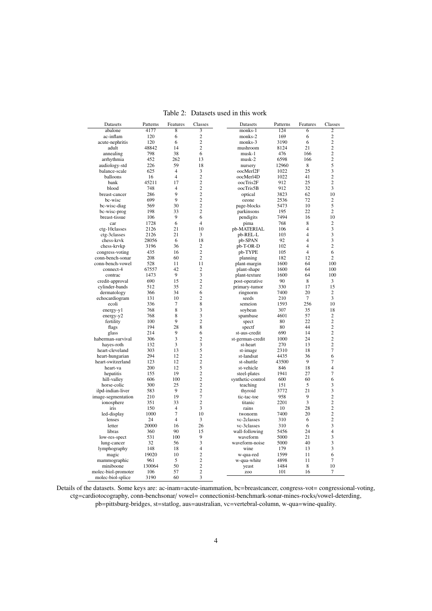| Datasets            | Patterns | Features       | Classes        | Datasets          | Patterns | Features       | Classes        |
|---------------------|----------|----------------|----------------|-------------------|----------|----------------|----------------|
| abalone             | 4177     | $\overline{8}$ | 3              | $mons-1$          | 124      | $\overline{6}$ | $\overline{2}$ |
| ac-inflam           | 120      | 6              | $\overline{c}$ | monks-2           | 169      | 6              | $\overline{c}$ |
| acute-nephritis     | 120      | 6              | $\overline{c}$ | monks-3           | 3190     | 6              | $\overline{c}$ |
| adult               | 48842    | 14             | $\overline{c}$ | mushroom          | 8124     | 21             | $\overline{2}$ |
| annealing           | 798      | 38             | 6              | musk-1            | 476      | 166            | $\overline{c}$ |
| arrhythmia          | 452      | 262            | 13             | musk-2            | 6598     | 166            | $\overline{c}$ |
| audiology-std       | 226      | 59             | 18             | nursery           | 12960    | 8              | 5              |
| balance-scale       | 625      | $\overline{4}$ | 3              | oocMerl2F         | 1022     | 25             | 3              |
| balloons            | 16       | $\overline{4}$ | $\overline{c}$ | oocMerl4D         | 1022     | 41             | $\overline{c}$ |
| bank                | 45211    | 17             | $\overline{c}$ | oocTris2F         | 912      | 25             | $\overline{c}$ |
| blood               | 748      | $\overline{4}$ | $\overline{c}$ | oocTris5B         | 912      | 32             | 3              |
| breast-cancer       | 286      | 9              | $\overline{2}$ | optical           | 3823     | 62             | 10             |
| bc-wisc             | 699      | 9              | $\overline{2}$ | ozone             | 2536     | 72             | $\overline{c}$ |
| bc-wisc-diag        | 569      | 30             | $\overline{2}$ | page-blocks       | 5473     | 10             | 5              |
| bc-wisc-prog        | 198      | 33             | $\overline{c}$ | parkinsons        | 195      | 22             | $\overline{c}$ |
| breast-tissue       | 106      | 9              | 6              | pendigits         | 7494     | 16             | 10             |
| car                 | 1728     | 6              | $\overline{4}$ | pima              | 768      | 8              | $\overline{c}$ |
| ctg-10classes       | 2126     | 21             | 10             | pb-MATERIAL       | 106      | 4              | 3              |
| ctg-3classes        | 2126     | 21             | 3              | pb-REL-L          | 103      | $\overline{4}$ | 3              |
| chess-krvk          | 28056    | 6              | 18             | pb-SPAN           | 92       | $\overline{4}$ | 3              |
| chess-krvkp         | 3196     | 36             | $\overline{c}$ | pb-T-OR-D         | 102      | $\overline{4}$ | $\overline{c}$ |
| congress-voting     | 435      | 16             | $\overline{c}$ | pb-TYPE           | 105      | 4              | 6              |
| conn-bench-sonar    | 208      | 60             | $\overline{2}$ | planning          | 182      | 12             | $\mathfrak{2}$ |
| conn-bench-vowel    | 528      | 11             | 11             | plant-margin      | 1600     | 64             | 100            |
| connect-4           | 67557    | 42             | $\overline{2}$ | plant-shape       | 1600     | 64             | 100            |
| contrac             | 1473     | 9              | 3              | plant-texture     | 1600     | 64             | 100            |
| credit-approval     | 690      | 15             | $\overline{c}$ | post-operative    | 90       | 8              | 3              |
| cylinder-bands      | 512      | 35             | $\overline{2}$ | primary-tumor     | 330      | 17             | 15             |
| dermatology         | 366      | 34             | 6              | ringnorm          | 7400     | 20             | $\mathfrak{2}$ |
| echocardiogram      | 131      | 10             | $\overline{c}$ | seeds             | 210      | $\overline{7}$ | 3              |
| ecoli               | 336      | $\overline{7}$ | 8              | semeion           | 1593     | 256            | 10             |
| energy-y1           | 768      | 8              | 3              | soybean           | 307      | 35             | 18             |
| energy-y2           | 768      | 8              | 3              | spambase          | 4601     | 57             | $\overline{c}$ |
| fertility           | 100      | 9              | $\overline{c}$ | spect             | 80       | 22             | $\overline{c}$ |
| flags               | 194      | 28             | 8              | spectf            | 80       | 44             | $\overline{c}$ |
| glass               | 214      | 9              | 6              | st-aus-credit     | 690      | 14             | $\overline{c}$ |
| haberman-survival   | 306      | 3              | $\overline{c}$ | st-german-credit  | 1000     | 24             | $\overline{c}$ |
| hayes-roth          | 132      | 3              | 3              | st-heart          | 270      | 13             | $\overline{c}$ |
| heart-cleveland     | 303      | 13             | 5              | st-image          | 2310     | 18             | $\tau$         |
| heart-hungarian     | 294      | 12             | $\overline{c}$ | st-landsat        | 4435     | 36             | 6              |
| heart-switzerland   | 123      | 12             | $\overline{2}$ | st-shuttle        | 43500    | 9              | $\overline{7}$ |
| heart-va            | 200      | 12             | 5              | st-vehicle        | 846      | 18             | $\overline{4}$ |
| hepatitis           | 155      | 19             | $\overline{c}$ | steel-plates      | 1941     | 27             | $\tau$         |
| hill-valley         | 606      | 100            | $\sqrt{2}$     | synthetic-control | 600      | 60             | 6              |
| horse-colic         | 300      | 25             | $\overline{c}$ | teaching          | 151      | 5              | 3              |
| ilpd-indian-liver   | 583      | 9              | $\overline{c}$ | thyroid           | 3772     | 21             | 3              |
| image-segmentation  | 210      | 19             | $\overline{7}$ | tic-tac-toe       | 958      | 9              | $\overline{c}$ |
| ionosphere          | 351      | 33             | $\overline{c}$ | titanic           | 2201     | 3              | $\overline{c}$ |
| iris                | 150      | $\overline{4}$ | 3              | rains             | 10       | 28             | $\sqrt{2}$     |
| led-display         | 1000     | $\overline{7}$ | 10             | twonorm           | 7400     | 20             | $\overline{c}$ |
| lenses              | 24       | $\overline{4}$ | 3              | vc-2classes       | 310      | 6              | $\overline{c}$ |
| letter              | 20000    | 16             | 26             | vc-3classes       | 310      | 6              | 3              |
| libras              | 360      | 90             | 15             | wall-following    | 5456     | 24             | $\overline{4}$ |
| low-res-spect       | 531      | 100            | 9              | waveform          | 5000     | 21             | 3              |
| lung-cancer         | 32       | 56             | 3              | waveform-noise    | 5000     | 40             | 3              |
| lymphography        | 148      | 18             | $\overline{4}$ | wine              | 179      | 13             | 3              |
| magic               | 19020    | 10             | $\overline{c}$ | w-qua-red         | 1599     | 11             | 6              |
| mammographic        | 961      | 5              | $\overline{c}$ | w-qua-white       | 4898     | 11             | $\overline{7}$ |
| miniboone           | 130064   | 50             | $\overline{c}$ | yeast             | 1484     | 8              | 10             |
| molec-biol-promoter | 106      | 57             | $\overline{c}$ | ZO <sub>O</sub>   | 101      | 16             | 7              |
| molec-biol-splice   | 3190     | 60             | 3              |                   |          |                |                |

<span id="page-3-0"></span>Table 2: Datasets used in this work

Details of the datasets. Some keys are: ac-inam=acute-inammation, bc=breastcancer, congress-vot= congressional-voting, ctg=cardiotocography, conn-benchsonar/ vowel= connectionist-benchmark-sonar-mines-rocks/vowel-deterding, pb=pittsburg-bridges, st=statlog, aus=australian, vc=vertebral-column, w-qua=wine-quality.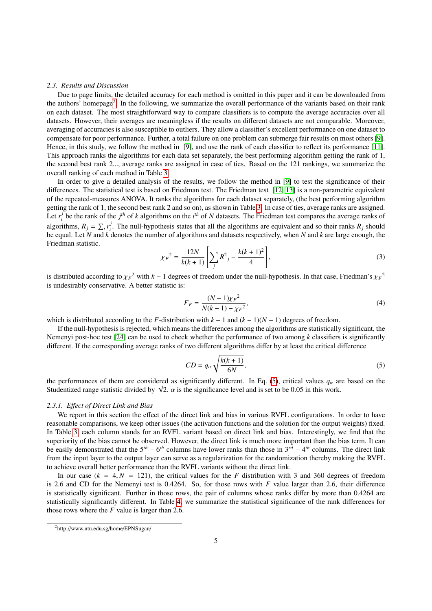### <span id="page-4-0"></span>*2.3. Results and Discussion*

Due to page limits, the detailed accuracy for each method is omitted in this paper and it can be downloaded from the authors' homepage<sup>[2](#page-4-1)</sup>. In the following, we summarize the overall performance of the variants based on their rank on each dataset. The most straightforward way to compare classifiers is to compute the average accuracies over all datasets. However, their averages are meaningless if the results on different datasets are not comparable. Moreover, averaging of accuracies is also susceptible to outliers. They allow a classifier's excellent performance on one dataset to compensate for poor performance. Further, a total failure on one problem can submerge fair results on most others [\[9\]](#page-11-20). Hence, in this study, we follow the method in [\[9\]](#page-11-20), and use the rank of each classifier to reflect its performance [\[11\]](#page-11-18). This approach ranks the algorithms for each data set separately, the best performing algorithm getting the rank of 1, the second best rank 2..., average ranks are assigned in case of ties. Based on the 121 rankings, we summarize the overall ranking of each method in Table [3.](#page-5-0)

In order to give a detailed analysis of the results, we follow the method in [\[9\]](#page-11-20) to test the significance of their differences. The statistical test is based on Friedman test. The Friedman test [\[12,](#page-11-21) [13\]](#page-11-22) is a non-parametric equivalent of the repeated-measures ANOVA. It ranks the algorithms for each dataset separately, (the best performing algorithm getting the rank of 1, the second best rank 2 and so on), as shown in Table [3.](#page-5-0) In case of ties, average ranks are assigned. Let  $r_i^j$  $i$  be the rank of the  $j<sup>th</sup>$  of *k* algorithms on the *i*<sup>th</sup> of *N* datasets. The Friedman test compares the average ranks of algorithms,  $R_j = \sum_i r_i^j$  $\mathbf{F}_i$ . The null-hypothesis states that all the algorithms are equivalent and so their ranks  $R_j$  should be equal. Let *N* and *k* denotes the number of algorithms and datasets respectively, when *N* and *k* are large enough, the Friedman statistic.

$$
\chi_F^2 = \frac{12N}{k(k+1)} \left[ \sum_j R^2_j - \frac{k(k+1)^2}{4} \right],\tag{3}
$$

is distributed according to  $\chi_F^2$  with  $k - 1$  degrees of freedom under the null-hypothesis. In that case, Friedman's  $\chi_F^2$ <br>is undesirably conservative. A better statistic is: is undesirably conservative. A better statistic is:

<span id="page-4-3"></span>
$$
F_F = \frac{(N-1)\chi_F^2}{N(k-1) - \chi_F^2},\tag{4}
$$

which is distributed according to the *F*-distribution with  $k - 1$  and  $(k - 1)(N - 1)$  degrees of freedom.

If the null-hypothesis is rejected, which means the differences among the algorithms are statistically significant, the Nemenyi post-hoc test [\[24\]](#page-11-23) can be used to check whether the performance of two among *k* classifiers is significantly different. If the corresponding average ranks of two different algorithms differ by at least the critical difference

<span id="page-4-2"></span>
$$
CD = q_{\alpha} \sqrt{\frac{k(k+1)}{6N}},\tag{5}
$$

the performances of them are considered as significantly different. In Eq. [\(5\)](#page-4-2), critical values  $q_\alpha$  are based on the the performances of them are considered as significantly different. In Eq. (5), critical values  $q_{\alpha}$  are Studentized range statistic divided by  $\sqrt{2}$ .  $\alpha$  is the significance level and is set to be 0.05 in this work

### *2.3.1. E*ff*ect of Direct Link and Bias*

We report in this section the effect of the direct link and bias in various RVFL configurations. In order to have reasonable comparisons, we keep other issues (the activation functions and the solution for the output weights) fixed. In Table [3,](#page-5-0) each column stands for an RVFL variant based on direct link and bias. Interestingly, we find that the superiority of the bias cannot be observed. However, the direct link is much more important than the bias term. It can be easily demonstrated that the 5*th* − 6 *th* columns have lower ranks than those in 3*rd* − 4 *th* columns. The direct link from the input layer to the output layer can serve as a regularization for the randomization thereby making the RVFL to achieve overall better performance than the RVFL variants without the direct link.

In our case  $(k = 4, N = 121)$ , the critical values for the *F* distribution with 3 and 360 degrees of freedom is 2.6 and CD for the Nemenyi test is 0.4264. So, for those rows with *F* value larger than 2.6, their difference is statistically significant. Further in those rows, the pair of columns whose ranks differ by more than 0.4264 are statistically significantly different. In Table [4,](#page-6-1) we summarize the statistical significance of the rank differences for those rows where the *F* value is larger than 2.6.

<span id="page-4-1"></span><sup>2</sup>http://www.ntu.edu.sg/home/EPNSugan/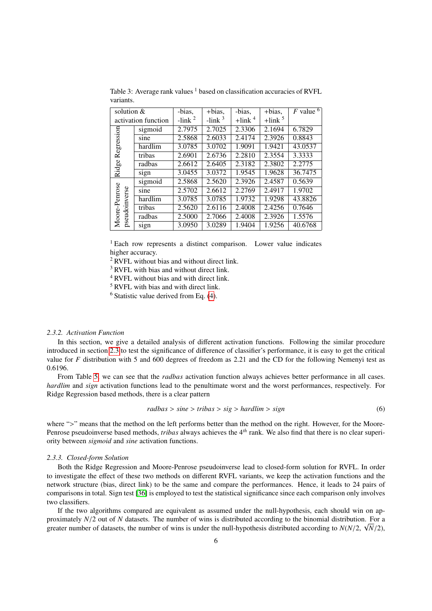| solution $&$                   |                     | -bias,   | $+ bias,$ | -bias,                | +bias,       | $F$ value $^6$ |
|--------------------------------|---------------------|----------|-----------|-----------------------|--------------|----------------|
|                                | activation function | $-link2$ | $-link3$  | $+$ link <sup>4</sup> | $+$ link $5$ |                |
|                                | sigmoid             | 2.7975   | 2.7025    | 2.3306                | 2.1694       | 6.7829         |
| Regression                     | sine                | 2.5868   | 2.6033    | 2.4174                | 2.3926       | 0.8843         |
|                                | hardlim             | 3.0785   | 3.0702    | 1.9091                | 1.9421       | 43.0537        |
|                                | tribas              | 2.6901   | 2.6736    | 2.2810                | 2.3554       | 3.3333         |
|                                | radbas              | 2.6612   | 2.6405    | 2.3182                | 2.3802       | 2.2775         |
| Ridge                          | sign                | 3.0455   | 3.0372    | 1.9545                | 1.9628       | 36.7475        |
|                                | sigmoid             | 2.5868   | 2.5620    | 2.3926                | 2.4587       | 0.5639         |
|                                | sine                | 2.5702   | 2.6612    | 2.2769                | 2.4917       | 1.9702         |
|                                | hardlim             | 3.0785   | 3.0785    | 1.9732                | 1.9298       | 43.8826        |
|                                | tribas              | 2.5620   | 2.6116    | 2.4008                | 2.4256       | 0.7646         |
| Moore-Penrose<br>pseudoinverse | radbas              | 2.5000   | 2.7066    | 2.4008                | 2.3926       | 1.5576         |
|                                | sign                | 3.0950   | 3.0289    | 1.9404                | 1.9256       | 40.6768        |

<span id="page-5-0"></span>Table 3: Average rank values  $<sup>1</sup>$  based on classification accuracies of RVFL</sup> variants.

<sup>1</sup> Each row represents a distinct comparison. Lower value indicates higher accuracy.

<sup>2</sup> RVFL without bias and without direct link.

<sup>3</sup> RVFL with bias and without direct link.

<sup>4</sup> RVFL without bias and with direct link.

<sup>5</sup> RVFL with bias and with direct link.

 $6$  Statistic value derived from Eq.  $(4)$ .

# *2.3.2. Activation Function*

In this section, we give a detailed analysis of different activation functions. Following the similar procedure introduced in section [2.3](#page-4-0) to test the significance of difference of classifier's performance, it is easy to get the critical value for *F* distribution with 5 and 600 degrees of freedom as 2.21 and the CD for the following Nemenyi test as 0.6196.

From Table [5,](#page-7-0) we can see that the *radbas* activation function always achieves better performance in all cases. *hardlim* and *sign* activation functions lead to the penultimate worst and the worst performances, respectively. For Ridge Regression based methods, there is a clear pattern

$$
radbas > sine > tribas > sig > hardlim > sign \tag{6}
$$

where ">" means that the method on the left performs better than the method on the right. However, for the Moore-Penrose pseudoinverse based methods, *tribas* always achieves the 4*th* rank. We also find that there is no clear superiority between *sigmoid* and *sine* activation functions.

## *2.3.3. Closed-form Solution*

Both the Ridge Regression and Moore-Penrose pseudoinverse lead to closed-form solution for RVFL. In order to investigate the effect of these two methods on different RVFL variants, we keep the activation functions and the network structure (bias, direct link) to be the same and compare the performances. Hence, it leads to 24 pairs of comparisons in total. Sign test [\[36\]](#page-12-8) is employed to test the statistical significance since each comparison only involves two classifiers.

If the two algorithms compared are equivalent as assumed under the null-hypothesis, each should win on approximately  $N/2$  out of *N* datasets. The number of wins is distributed according to the binomial distribution. For a<br>greater number of datasets, the number of wins is under the null-hypothesis distributed according to greater number of datasets, the number of wins is under the null-hypothesis distributed according to  $N(N/2, \sqrt{N/2})$ ,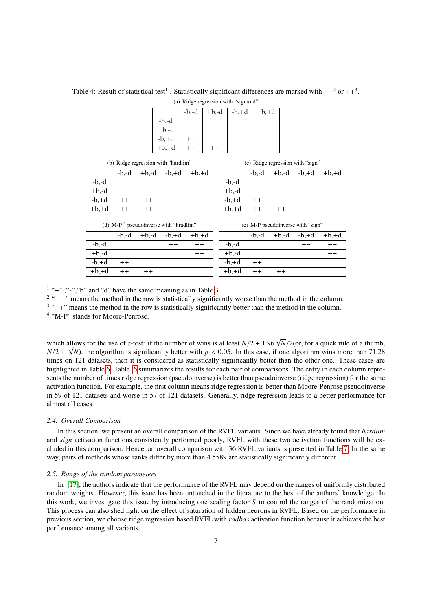<span id="page-6-1"></span>Table 4: Result of statistical test<sup>1</sup>. Statistically significant differences are marked with  $-$ <sup>2</sup> or ++<sup>3</sup>. (a) Ridge regression with "sigmoid"

|         | $-b,-d$ | $+b,-d$ | $-b,+d$ | $+b,+d$ |
|---------|---------|---------|---------|---------|
| $-b,-d$ |         |         |         |         |
| $+b,-d$ |         |         |         |         |
| $-b,+d$ | $^{++}$ |         |         |         |
| $+b,+d$ |         |         |         |         |

(b) Ridge regression with "hardlim"

 $-b.-d$  +b,-d -b,+d +b,+d  $-b,-d$  $+b,-d$  $-b, +d$  ++ ++  $+b, +d$  ++ ++

| (c) Ridge regression with "sign" |  |  |
|----------------------------------|--|--|
|----------------------------------|--|--|

|         | $-b,-d$ | $+b,-d$ | $-b,+d$ | $+b,+d$ |
|---------|---------|---------|---------|---------|
| $-b,-d$ |         |         |         |         |
| $+b,-d$ |         |         |         |         |
| $-b,+d$ | $++$    |         |         |         |
| $+b,+d$ | $^{++}$ | $^{++}$ |         |         |

(d)  $M-P<sup>4</sup>$  pseudoinverse with "hradlim"

|         | $-b,-d$ | $+b,-d$ | $-b,+d$ | $+b,+d$ |
|---------|---------|---------|---------|---------|
| $-b,-d$ |         |         |         |         |
| $+b,-d$ |         |         |         |         |
| $-b,+d$ | $++$    |         |         |         |
| $+b,+d$ | $++$    | $++$    |         |         |

| $+b,-d$<br>$-b,+d$<br>$-b,-d$ | $+b,+d$ |
|-------------------------------|---------|
| $-b,-d$                       |         |
| $+b,-d$                       |         |
| $-b,+d$<br>$++$               |         |
| $+b,+d$<br>$+ +$<br>$^{++}$   |         |

 $1$  "+", "-", "b" and "d" have the same meaning as in Table [3.](#page-5-0)

<sup>2</sup> " −−" means the method in the row is statistically significantly worse than the method in the column.

 $3$  "++" means the method in the row is statistically significantly better than the method in the column.

<sup>4</sup> "M-P" stands for Moore-Penrose.

which allows for the use of *z*-test: if the number of wins is at least  $N/2 + 1.96 \sqrt{N}/2$  (or, for a quick rule of a thumb,  $N/2 + \sqrt{N}$ ) the algorithm is significantly better with  $n < 0.05$ . In this case, if one algorithm  $N/2 + \sqrt{N}$ , the algorithm is significantly better with  $p < 0.05$ . In this case, if one algorithm wins more than 71.28 times on 121 datasets, then it is considered as statistically significantly better than the other one. times on 121 datasets, then it is considered as statistically significantly better than the other one. These cases are highlighted in Table [6.](#page-8-0) Table [6](#page-8-0) summarizes the results for each pair of comparisons. The entry in each column represents the number of times ridge regression (pseudoinverse) is better than pseudoinverse (ridge regression) for the same activation function. For example, the first column means ridge regression is better than Moore-Penrose pseudoinverse in 59 of 121 datasets and worse in 57 of 121 datasets. Generally, ridge regression leads to a better performance for almost all cases.

### *2.4. Overall Comparison*

In this section, we present an overall comparison of the RVFL variants. Since we have already found that *hardlim* and *sign* activation functions consistently performed poorly, RVFL with these two activation functions will be excluded in this comparison. Hence, an overall comparison with 36 RVFL variants is presented in Table [7.](#page-8-1) In the same way, pairs of methods whose ranks differ by more than 4.5589 are statistically significantly different.

# <span id="page-6-0"></span>*2.5. Range of the random parameters*

In [\[17\]](#page-11-2), the authors indicate that the performance of the RVFL may depend on the ranges of uniformly distributed random weights. However, this issue has been untouched in the literature to the best of the authors' knowledge. In this work, we investigate this issue by introducing one scaling factor *S* to control the ranges of the randomization. This process can also shed light on the effect of saturation of hidden neurons in RVFL. Based on the performance in previous section, we choose ridge regression based RVFL with *radbas* activation function because it achieves the best performance among all variants.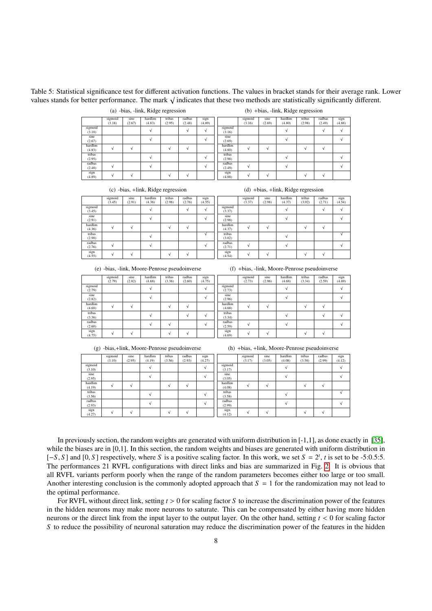<span id="page-7-0"></span>Table 5: Statistical significance test for different activation functions. The values in bracket stands for their average rank. Lower values stands for better performance. The mark <sup>√</sup> indicates that these two methods are statistically significantly different.

|         |         |        | ÷       | ÷      |        |        |         |         |        | $\tilde{}$ | $\tilde{\phantom{a}}$ |        |               |
|---------|---------|--------|---------|--------|--------|--------|---------|---------|--------|------------|-----------------------|--------|---------------|
|         | sigmoid | sine   | hardlim | tribas | radbas | sign   |         | sigmoid | sine   | hardlim    | tribas                | radbas | sign          |
|         | (3.18)  | (2.67) | (4.83)  | (2.95) | (2.48) | (4.89) |         | (3.16)  | (2.69) | (4.80)     | (2.98)                | (2.49) | (4.88)        |
| sigmoid |         |        |         |        |        |        | sigmoid |         |        |            |                       |        | $\mathcal{N}$ |
| (3.18)  |         |        |         |        |        |        | (3.16)  |         |        |            |                       |        |               |
| sine    |         |        |         |        |        |        | sine    |         |        |            |                       |        |               |
| (2.67)  |         |        |         |        |        |        | (2.69)  |         |        |            |                       |        |               |
| hardlim |         |        |         |        |        |        | hardlim |         |        |            |                       |        |               |
| (4.83)  |         |        |         |        |        |        | (4.80)  |         |        |            |                       |        |               |
| tribas  |         |        |         |        |        |        | tribas  |         |        |            |                       |        |               |
| (2.95)  |         |        |         |        |        |        | (2.98)  |         |        |            |                       |        |               |
| radbas  |         |        |         |        |        |        | radbas  |         |        |            |                       |        |               |
| (2.48)  |         |        |         |        |        |        | (2.49)  |         |        |            |                       |        |               |
| sign    |         |        |         |        |        |        | sign    |         |        |            |                       |        |               |
| (4.89)  |         |        |         |        |        |        | (4.88)  |         |        |            |                       |        |               |

(c) -bias, +link, Ridge regression

(a) -bias, -link, Ridge regression

(d) +bias, +link, Ridge regression

(b) +bias, -link, Ridge regression

|         | sigmoid | sine   | hardlim | tribas | radbas | sign   |         | sigmoid | sine   | hardlim | tribas | radbas | sign       |
|---------|---------|--------|---------|--------|--------|--------|---------|---------|--------|---------|--------|--------|------------|
|         | (3.45)  | (2.91) | (4.36)  | (2.98) | (2.76) | (4.55) |         | (3.37)  | (2.98) | (4.37)  | (3.02) | (2.71) | (4.54)     |
| sigmoid |         |        |         |        |        |        | sigmoid |         |        |         |        |        | ٨I         |
| (3.45)  |         |        |         |        |        |        | (3.37)  |         |        |         |        |        |            |
| sine    |         |        |         |        |        |        | sine    |         |        |         |        |        |            |
| (2.91)  |         |        |         |        |        |        | (2.98)  |         |        |         |        |        |            |
| hardlim |         |        |         |        |        |        | hardlim |         |        |         |        |        |            |
| (4.36)  |         |        |         |        |        |        | (4.37)  |         |        |         |        |        |            |
| tribas  |         |        |         |        |        |        | tribas  |         |        |         |        |        | $\sqrt{ }$ |
| (2.98)  |         |        |         |        |        |        | (3.02)  |         |        |         |        |        |            |
| radbas  |         |        |         |        |        |        | radbas  |         |        |         |        |        |            |
| (2.76)  |         |        |         |        |        |        | (2.71)  |         |        |         |        |        |            |
| sign    |         |        |         |        |        |        | sign    |         |        |         |        |        |            |
| (4.55)  |         |        |         |        |        |        | (4.54)  |         |        |         |        |        |            |

(e) -bias, -link, Moore-Penrose pseudoinverse

|                   | sigmoid<br>(2.79) | sine<br>(2.82) | hardlim<br>(4.68) | tribas<br>(3.36) | radbas<br>(2.60) | sign<br>(4.75) |
|-------------------|-------------------|----------------|-------------------|------------------|------------------|----------------|
| sigmoid<br>(2.79) |                   |                |                   |                  |                  |                |
| sine<br>(2.82)    |                   |                |                   |                  |                  |                |
| hardlim<br>(4.68) |                   |                |                   |                  |                  |                |
| tribas<br>(3.36)  |                   |                |                   |                  |                  |                |
| radbas<br>(2.60)  |                   |                |                   |                  |                  |                |
| sign<br>(4.75)    |                   |                |                   |                  |                  |                |

|  | (f) +bias, -link, Moore-Penrose pseudoinverse |  |
|--|-----------------------------------------------|--|
|  |                                               |  |

|                   | sigmoid<br>(2.73) | sine<br>(2.96) | hardlim<br>(4.68) | tribas<br>(3.34) | radbas<br>(2.59) | sign<br>(4.69) |
|-------------------|-------------------|----------------|-------------------|------------------|------------------|----------------|
| sigmoid<br>(2.73) |                   |                |                   |                  |                  |                |
| sine<br>(2.96)    |                   |                |                   |                  |                  |                |
| hardlim<br>(4.68) |                   |                |                   |                  |                  |                |
| tribas<br>(3.34)  |                   |                |                   |                  |                  |                |
| radbas<br>(2.59)  |                   |                |                   |                  |                  |                |
| sign<br>(4.69)    |                   |                |                   |                  |                  |                |

(g) -bias,+link, Moore-Penrose pseudoinverse

(h) +bias, +link, Moore-Penrose pseudoinverse

|         | sigmoid | sine   | hardlim | tribas | radbas | sign   |         | sigmoid | sine   | hardlim | tribas | radbas | sign   |
|---------|---------|--------|---------|--------|--------|--------|---------|---------|--------|---------|--------|--------|--------|
|         | (3.10)  | (2.95) | (4.19)  | (3.56) | (2.93) | (4.27) |         | (3.17)  | (3.05) | (4.08)  | (3.58) | (2.99) | (4.12) |
| sigmoid |         |        |         |        |        |        | sigmoid |         |        |         |        |        |        |
| (3.10)  |         |        |         |        |        |        | (3.17)  |         |        |         |        |        |        |
| sine    |         |        |         |        |        |        | sine    |         |        |         |        |        |        |
| (2.95)  |         |        |         |        |        |        | (3.05)  |         |        |         |        |        |        |
| hardlim |         | $\sim$ |         |        |        |        | hardlim |         |        |         |        | ٠      |        |
| (4.19)  |         |        |         |        |        |        | (4.08)  |         |        |         |        |        |        |
| tribas  |         |        |         |        |        |        | tribas  |         |        |         |        |        |        |
| (3.56)  |         |        |         |        |        |        | (3.58)  |         |        |         |        |        |        |
| radbas  |         |        |         |        |        |        | radbas  |         |        |         |        |        |        |
| (2.93)  |         |        |         |        |        |        | (2.99)  |         |        |         |        |        |        |
| sign    |         | $\sim$ |         |        |        |        | sign    |         |        |         |        |        |        |
| (4.27)  |         |        |         |        |        |        | (4.12)  |         |        |         |        |        |        |

In previously section, the random weights are generated with uniform distribution in  $[-1,1]$ , as done exactly in  $[35]$ , while the biases are in [0,1]. In this section, the random weights and biases are generated with uniform distribution in  $[-S, S]$  and  $[0, S]$  respectively, where *S* is a positive scaling factor. In this work, we set  $S = 2^t$ , *t* is set to be -5:0.5:5.<br>The performances 21 RVEL configurations with direct links and bias are summarized in Fig. The performances 21 RVFL configurations with direct links and bias are summarized in Fig. [2.](#page-9-0) It is obvious that all RVFL variants perform poorly when the range of the random parameters becomes either too large or too small. Another interesting conclusion is the commonly adopted approach that  $S = 1$  for the randomization may not lead to the optimal performance.

For RVFL without direct link, setting *<sup>t</sup>* > 0 for scaling factor *<sup>S</sup>* to increase the discrimination power of the features in the hidden neurons may make more neurons to saturate. This can be compensated by either having more hidden neurons or the direct link from the input layer to the output layer. On the other hand, setting *<sup>t</sup>* < 0 for scaling factor *S* to reduce the possibility of neuronal saturation may reduce the discrimination power of the features in the hidden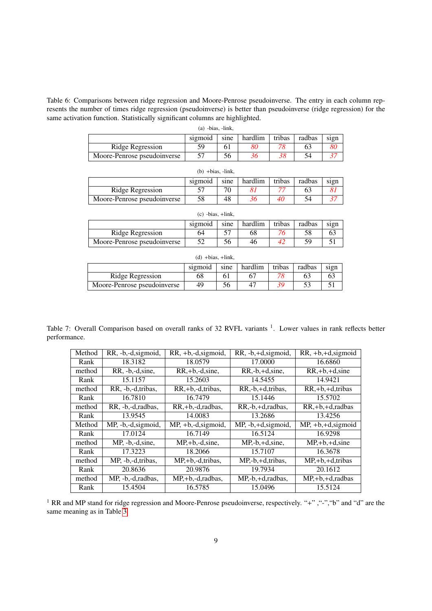<span id="page-8-0"></span>Table 6: Comparisons between ridge regression and Moore-Penrose pseudoinverse. The entry in each column represents the number of times ridge regression (pseudoinverse) is better than pseudoinverse (ridge regression) for the same activation function. Statistically significant columns are highlighted.

| $(a)$ -bias, -link,         |         |      |         |        |        |      |  |  |
|-----------------------------|---------|------|---------|--------|--------|------|--|--|
|                             | sigmoid | sine | hardlim | tribas | radbas | sign |  |  |
| Ridge Regression            | 59      | ΩI   | 80      |        | 63     | 80   |  |  |
| Moore-Penrose pseudoinverse |         | 56   | 36      |        | 54     |      |  |  |

| $(b) + bias$ , $-link$ ,    |         |      |         |        |        |      |  |  |
|-----------------------------|---------|------|---------|--------|--------|------|--|--|
|                             | sigmoid | sine | hardlim | tribas | radbas | sign |  |  |
| Ridge Regression            |         | 70   |         |        |        |      |  |  |
| Moore-Penrose pseudoinverse | 58      | 48   |         | 40     |        |      |  |  |

| $(c)$ -bias, $+$ link,      |         |      |         |        |        |      |  |  |
|-----------------------------|---------|------|---------|--------|--------|------|--|--|
|                             | sigmoid | sine | hardlim | tribas | radbas | sign |  |  |
| Ridge Regression            | 64      |      | 68      |        | 58     | 63   |  |  |
| Moore-Penrose pseudoinverse |         | 56   | 46      |        | 59     |      |  |  |

| $(d) + bias, +link,$        |         |      |         |        |        |      |  |  |
|-----------------------------|---------|------|---------|--------|--------|------|--|--|
|                             | sigmoid | sine | hardlim | tribas | radbas | sign |  |  |
| Ridge Regression            | 68      |      |         |        |        |      |  |  |
| Moore-Penrose pseudoinverse | 49      | 56   | 47      |        |        |      |  |  |

Table 7: Overall Comparison based on overall ranks of 32 RVFL variants <sup>1</sup>. Lower values in rank reflects better performance.

<span id="page-8-1"></span>

| Method | RR, -b,-d, sigmoid, | RR, +b,-d, sigmoid,               | $RR, -b, +d, sigmoid,$ | $RR, +b, +d, sigmoid$ |
|--------|---------------------|-----------------------------------|------------------------|-----------------------|
| Rank   | 18.3182             | 18.0579                           | 17.0000                | 16.6860               |
| method | RR, -b,-d, sine,    | $RR, +b, -d, sine,$               | $RR,-b,+d,sine$ ,      | $RR, +b, +d, sine$    |
| Rank   | 15.1157             | 15.2603                           | 14.5455                | 14.9421               |
| method | RR, -b,-d,tribas,   | $RR, +b, -d, tribas,$             | RR,-b,+d,tribas,       | $RR, +b, +d, tribas$  |
| Rank   | 16.7810             | 16.7479                           | 15.1446                | 15.5702               |
| method | RR, -b,-d, radbas,  | RR,+b,-d,radbas,                  | RR,-b,+d,radbas,       | $RR, +b, +d,$ radbas  |
| Rank   | 13.9545             | 14.0083                           | 13.2686                | 13.4256               |
|        |                     |                                   |                        |                       |
| Method | MP, -b,-d, sigmoid, | $\overline{MP}$ , +b,-d, sigmoid, | $MP, -b, +d, sigmoid,$ | $MP, +b, +d, sigmoid$ |
| Rank   | 17.0124             | 16.7149                           | 16.5124                | 16.9298               |
| method | $MP, -b, -d, sine,$ | $MP, +b, -d, sine,$               | $MP, -b, +d, sine,$    | $MP, +b, +d, sine$    |
| Rank   | 17.3223             | 18.2066                           | 15.7107                | 16.3678               |
| method | MP, -b,-d,tribas,   | $MP, +b, -d, tribas,$             | MP,-b,+d,tribas,       | $MP, +b, +d, tribas$  |
| Rank   | 20.8636             | 20.9876                           | 19.7934                | 20.1612               |
| method | MP, -b,-d,radbas,   | MP <sub>,+b,-d,radbas,</sub>      | MP,-b,+d,radbas,       | $MP, +b, +d,$ radbas  |

<sup>1</sup> RR and MP stand for ridge regression and Moore-Penrose pseudoinverse, respectively. "+", "-", "b" and "d" are the same meaning as in Table [3.](#page-5-0)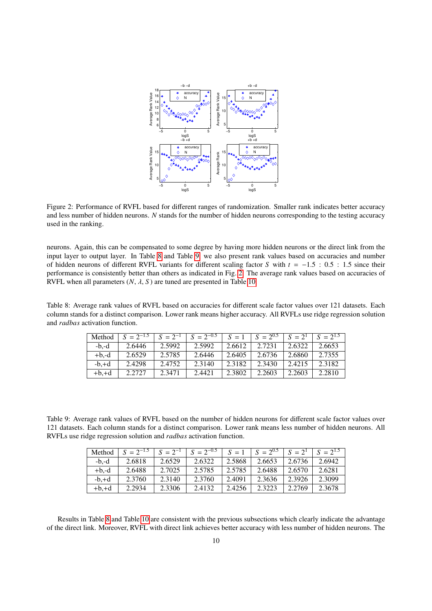

<span id="page-9-0"></span>Figure 2: Performance of RVFL based for different ranges of randomization. Smaller rank indicates better accuracy and less number of hidden neurons. *N* stands for the number of hidden neurons corresponding to the testing accuracy used in the ranking.

neurons. Again, this can be compensated to some degree by having more hidden neurons or the direct link from the input layer to output layer. In Table [8](#page-9-1) and Table [9,](#page-9-2) we also present rank values based on accuracies and number of hidden neurons of different RVFL variants for different scaling factor *<sup>S</sup>* with *<sup>t</sup>* <sup>=</sup> <sup>−</sup>1.5 : 0.5 : 1.5 since their performance is consistently better than others as indicated in Fig. [2.](#page-9-0) The average rank values based on accuracies of RVFL when all parameters  $(N, \lambda, S)$  are tuned are presented in Table [10.](#page-10-0)

<span id="page-9-1"></span>Table 8: Average rank values of RVFL based on accuracies for different scale factor values over 121 datasets. Each column stands for a distinct comparison. Lower rank means higher accuracy. All RVFLs use ridge regression solution and *radbas* activation function.

| Method  | $S = 2^{-1.5}$ | $S = 2^{-1}$ | $S = 2^{-0.5}$ | $S = 1$ | $S = 2^{0.5}$ | $S = 2^1$ | $S = 2^{1.5}$ |
|---------|----------------|--------------|----------------|---------|---------------|-----------|---------------|
| $-b.-d$ | 2.6446         | 2.5992       | 2.5992         | 2.6612  | 2.7231        | 2.6322    | 2.6653        |
| $+b.-d$ | 2.6529         | 2.5785       | 2.6446         | 2.6405  | 2.6736        | 2.6860    | 2.7355        |
| $-b.+d$ | 2.4298         | 2.4752       | 2.3140         | 2.3182  | 2.3430        | 2.4215    | 2.3182        |
| $+b.+d$ | 2.2727         | 2.3471       | 2.4421         | 2.3802  | 2.2603        | 2.2603    | 2.2810        |

<span id="page-9-2"></span>Table 9: Average rank values of RVFL based on the number of hidden neurons for different scale factor values over 121 datasets. Each column stands for a distinct comparison. Lower rank means less number of hidden neurons. All RVFLs use ridge regression solution and *radbas* activation function.

| Method  | $S = 2^{-1.5}$ | $S = 2^{-1}$ | $S = 2^{-0.5}$ | $S = 1$ | $S = 2^{0.5}$ | $S = 2^1$ | $S = 2^{1.5}$ |
|---------|----------------|--------------|----------------|---------|---------------|-----------|---------------|
| $-b.-d$ | 2.6818         | 2.6529       | 2.6322         | 2.5868  | 2.6653        | 2.6736    | 2.6942        |
| $+b.-d$ | 2.6488         | 2.7025       | 2.5785         | 2.5785  | 2.6488        | 2.6570    | 2.6281        |
| $-b.+d$ | 2.3760         | 2.3140       | 2.3760         | 2.4091  | 2.3636        | 2.3926    | 2.3099        |
| $+b,+d$ | 2.2934         | 2.3306       | 2.4132         | 2.4256  | 2.3223        | 2.2769    | 2.3678        |

Results in Table [8](#page-9-1) and Table [10](#page-10-0) are consistent with the previous subsections which clearly indicate the advantage of the direct link. Moreover, RVFL with direct link achieves better accuracy with less number of hidden neurons. The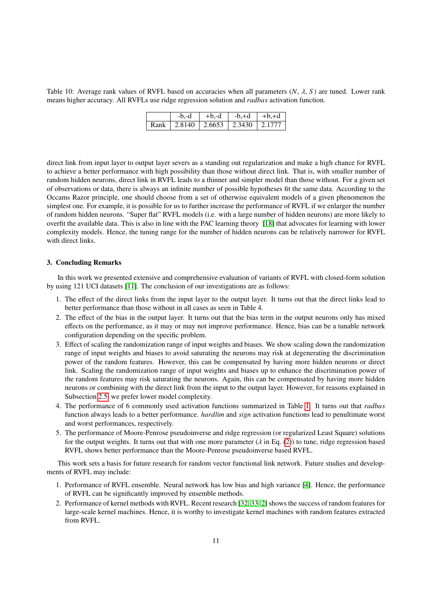<span id="page-10-0"></span>Table 10: Average rank values of RVFL based on accuracies when all parameters (*N*, λ, *<sup>S</sup>* ) are tuned. Lower rank means higher accuracy. All RVFLs use ridge regression solution and *radbas* activation function.

| $-b.-d$                                  | $+b,-d$ | $-b,+d$   $+b,+d$ |  |
|------------------------------------------|---------|-------------------|--|
| Rank   2.8140   2.6653   2.3430   2.1777 |         |                   |  |

direct link from input layer to output layer severs as a standing out regularization and make a high chance for RVFL to achieve a better performance with high possibility than those without direct link. That is, with smaller number of random hidden neurons, direct link in RVFL leads to a thinner and simpler model than those without. For a given set of observations or data, there is always an infinite number of possible hypotheses fit the same data. According to the Occams Razor principle, one should choose from a set of otherwise equivalent models of a given phenomenon the simplest one. For example, it is possible for us to further increase the performance of RVFL if we enlarger the number of random hidden neurons. "Super flat" RVFL models (i.e. with a large number of hidden neurons) are more likely to overfit the available data. This is also in line with the PAC learning theory [\[18\]](#page-11-24) that advocates for learning with lower complexity models. Hence, the tuning range for the number of hidden neurons can be relatively narrower for RVFL with direct links.

# 3. Concluding Remarks

In this work we presented extensive and comprehensive evaluation of variants of RVFL with closed-form solution by using 121 UCI datasets [\[11\]](#page-11-18). The conclusion of our investigations are as follows:

- 1. The effect of the direct links from the input layer to the output layer. It turns out that the direct links lead to better performance than those without in all cases as seen in Table 4.
- 2. The effect of the bias in the output layer. It turns out that the bias term in the output neurons only has mixed effects on the performance, as it may or may not improve performance. Hence, bias can be a tunable network configuration depending on the specific problem.
- 3. Effect of scaling the randomization range of input weights and biases. We show scaling down the randomization range of input weights and biases to avoid saturating the neurons may risk at degenerating the discrimination power of the random features. However, this can be compensated by having more hidden neurons or direct link. Scaling the randomization range of input weights and biases up to enhance the discrimination power of the random features may risk saturating the neurons. Again, this can be compensated by having more hidden neurons or combining with the direct link from the input to the output layer. However, for reasons explained in Subsection [2.5,](#page-6-0) we prefer lower model complexity.
- 4. The performance of 6 commonly used activation functions summarized in Table [1.](#page-2-0) It turns out that *radbas* function always leads to a better performance. *hardlim* and *sign* activation functions lead to penultimate worst and worst performances, respectively.
- 5. The performance of Moore-Penrose pseudoinverse and ridge regression (or regularized Least Square) solutions for the output weights. It turns out that with one more parameter ( $\lambda$  in Eq. [\(2\)](#page-1-3)) to tune, ridge regression based RVFL shows better performance than the Moore-Penrose pseudoinverse based RVFL.

This work sets a basis for future research for random vector functional link network. Future studies and developments of RVFL may include:

- 1. Performance of RVFL ensemble. Neural network has low bias and high variance [\[4\]](#page-11-25). Hence, the performance of RVFL can be significantly improved by ensemble methods.
- 2. Performance of kernel methods with RVFL. Recent research [\[32,](#page-12-9) [33,](#page-12-10) [2\]](#page-11-26) shows the success of random features for large-scale kernel machines. Hence, it is worthy to investigate kernel machines with random features extracted from RVFL.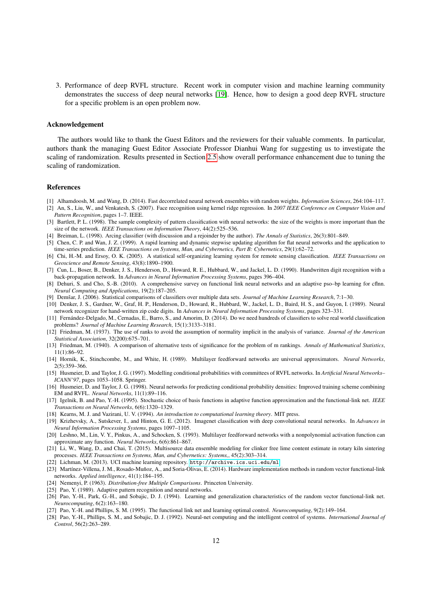3. Performance of deep RVFL structure. Recent work in computer vision and machine learning community demonstrates the success of deep neural networks [\[19\]](#page-11-27). Hence, how to design a good deep RVFL structure for a specific problem is an open problem now.

### Acknowledgement

The authors would like to thank the Guest Editors and the reviewers for their valuable comments. In particular, authors thank the managing Guest Editor Associate Professor Dianhui Wang for suggesting us to investigate the scaling of randomization. Results presented in Section [2.5](#page-6-0) show overall performance enhancement due to tuning the scaling of randomization.

### References

- <span id="page-11-13"></span>[1] Alhamdoosh, M. and Wang, D. (2014). Fast decorrelated neural network ensembles with random weights. *Information Sciences*, 264:104–117.
- <span id="page-11-26"></span>[2] An, S., Liu, W., and Venkatesh, S. (2007). Face recognition using kernel ridge regression. In *2007 IEEE Conference on Computer Vision and Pattern Recognition*, pages 1–7. IEEE.
- <span id="page-11-16"></span>[3] Bartlett, P. L. (1998). The sample complexity of pattern classification with neural networks: the size of the weights is more important than the size of the network. *IEEE Transactions on Information Theory*, 44(2):525–536.
- <span id="page-11-25"></span>[4] Breiman, L. (1998). Arcing classifier (with discussion and a rejoinder by the author). *The Annals of Statistics*, 26(3):801–849.
- <span id="page-11-9"></span>[5] Chen, C. P. and Wan, J. Z. (1999). A rapid learning and dynamic stepwise updating algorithm for flat neural networks and the application to time-series prediction. *IEEE Transactions on Systems, Man, and Cybernetics, Part B: Cybernetics*, 29(1):62–72.
- <span id="page-11-11"></span>[6] Chi, H.-M. and Ersoy, O. K. (2005). A statistical self-organizing learning system for remote sensing classification. *IEEE Transactions on Geoscience and Remote Sensing*, 43(8):1890–1900.
- <span id="page-11-4"></span>[7] Cun, L., Boser, B., Denker, J. S., Henderson, D., Howard, R. E., Hubbard, W., and Jackel, L. D. (1990). Handwritten digit recognition with a back-propagation network. In *Advances in Neural Information Processing Systems*, pages 396–404.
- <span id="page-11-6"></span>[8] Dehuri, S. and Cho, S.-B. (2010). A comprehensive survey on functional link neural networks and an adaptive pso–bp learning for cflnn. *Neural Computing and Applications*, 19(2):187–205.
- <span id="page-11-20"></span>[9] Demšar, J. (2006). Statistical comparisons of classifiers over multiple data sets. *Journal of Machine Learning Research*, 7:1-30.
- <span id="page-11-3"></span>[10] Denker, J. S., Gardner, W., Graf, H. P., Henderson, D., Howard, R., Hubbard, W., Jackel, L. D., Baird, H. S., and Guyon, I. (1989). Neural network recognizer for hand-written zip code digits. In *Advances in Neural Information Processing Systems*, pages 323–331.
- <span id="page-11-18"></span>[11] Fernández-Delgado, M., Cernadas, E., Barro, S., and Amorim, D. (2014). Do we need hundreds of classifiers to solve real world classification problems? *Journal of Machine Learning Research*, 15(1):3133–3181.
- <span id="page-11-21"></span>[12] Friedman, M. (1937). The use of ranks to avoid the assumption of normality implicit in the analysis of variance. *Journal of the American Statistical Association*, 32(200):675–701.
- <span id="page-11-22"></span>[13] Friedman, M. (1940). A comparison of alternative tests of significance for the problem of m rankings. *Annals of Mathematical Statistics*, 11(1):86–92.
- <span id="page-11-0"></span>[14] Hornik, K., Stinchcombe, M., and White, H. (1989). Multilayer feedforward networks are universal approximators. *Neural Networks*, 2(5):359–366.
- <span id="page-11-10"></span>[15] Husmeier, D. and Taylor, J. G. (1997). Modelling conditional probabilities with committees of RVFL networks. In *Artificial Neural Networks– ICANN'97*, pages 1053–1058. Springer.
- <span id="page-11-12"></span>[16] Husmeier, D. and Taylor, J. G. (1998). Neural networks for predicting conditional probability densities: Improved training scheme combining EM and RVFL. *Neural Networks*, 11(1):89–116.
- <span id="page-11-2"></span>[17] Igelnik, B. and Pao, Y.-H. (1995). Stochastic choice of basis functions in adaptive function approximation and the functional-link net. *IEEE Transactions on Neural Networks*, 6(6):1320–1329.
- <span id="page-11-24"></span>[18] Kearns, M. J. and Vazirani, U. V. (1994). *An introduction to computational learning theory*. MIT press.
- <span id="page-11-27"></span>[19] Krizhevsky, A., Sutskever, I., and Hinton, G. E. (2012). Imagenet classification with deep convolutional neural networks. In *Advances in Neural Information Processing Systems*, pages 1097–1105.
- <span id="page-11-1"></span>[20] Leshno, M., Lin, V. Y., Pinkus, A., and Schocken, S. (1993). Multilayer feedforward networks with a nonpolynomial activation function can approximate any function. *Neural Networks*, 6(6):861–867.
- <span id="page-11-14"></span>[21] Li, W., Wang, D., and Chai, T. (2015). Multisource data ensemble modeling for clinker free lime content estimate in rotary kiln sintering processes. *IEEE Transactions on Systems, Man, and Cybernetics: Systems,*, 45(2):303–314.
- <span id="page-11-19"></span>[22] Lichman, M. (2013). UCI machine learning repository. <http://archive.ics.uci.edu/ml>.
- <span id="page-11-15"></span>[23] Martínez-Villena, J. M., Rosado-Muñoz, A., and Soria-Olivas, E. (2014). Hardware implementation methods in random vector functional-link networks. *Applied intelligence*, 41(1):184–195.
- <span id="page-11-23"></span>[24] Nemenyi, P. (1963). *Distribution-free Multiple Comparisons*. Princeton University.
- <span id="page-11-5"></span>[25] Pao, Y. (1989). Adaptive pattern recognition and neural networks.
- <span id="page-11-8"></span>[26] Pao, Y.-H., Park, G.-H., and Sobajic, D. J. (1994). Learning and generalization characteristics of the random vector functional-link net. *Neurocomputing*, 6(2):163–180.
- <span id="page-11-17"></span>[27] Pao, Y.-H. and Phillips, S. M. (1995). The functional link net and learning optimal control. *Neurocomputing*, 9(2):149–164.
- <span id="page-11-7"></span>[28] Pao, Y.-H., Phillips, S. M., and Sobajic, D. J. (1992). Neural-net computing and the intelligent control of systems. *International Journal of Control*, 56(2):263–289.